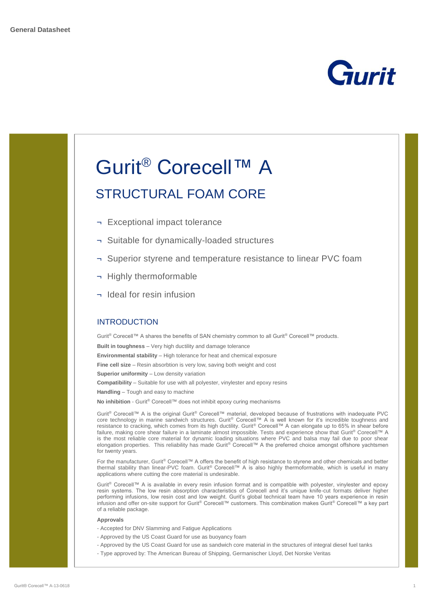



Gurit® Corecell™ A is available in every resin infusion format and is compatible with polyester, vinylester and epoxy resin systems. The low resin absorption characteristics of Corecell and it's unique knife-cut formats deliver higher performing infusions, low resin cost and low weight. Gurit's global technical team have 10 years experience in resin infusion and offer on-site support for Gurit® Corecell™ customers. This combination makes Gurit® Corecell™ a key part of a reliable package.

### **Approvals**

- Accepted for DNV Slamming and Fatigue Applications
- Approved by the US Coast Guard for use as buoyancy foam
- Approved by the US Coast Guard for use as sandwich core material in the structures of integral diesel fuel tanks
- Type approved by: The American Bureau of Shipping, Germanischer Lloyd, Det Norske Veritas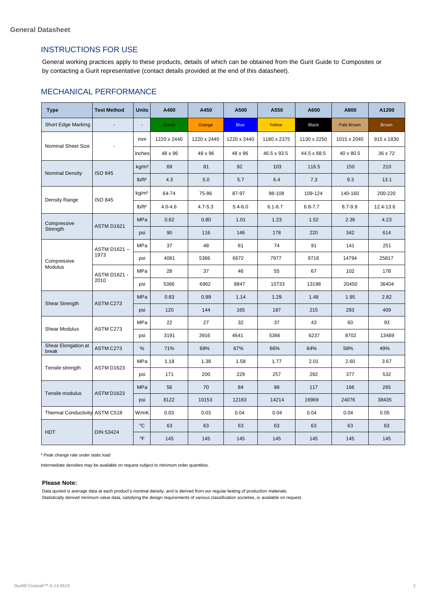## INSTRUCTIONS FOR USE

General working practices apply to these products, details of which can be obtained from the Gurit Guide to Composites or by contacting a Gurit representative (contact details provided at the end of this datasheet).

## MECHANICAL PERFORMANCE

| <b>Type</b>                    | <b>Test Method</b>   | <b>Units</b>           | A400        | A450        | A500        | A550        | A600         | A800        | A1200        |
|--------------------------------|----------------------|------------------------|-------------|-------------|-------------|-------------|--------------|-------------|--------------|
| Short Edge Marking             | $\overline{a}$       |                        | Green       | Orange      | <b>Blue</b> | Yellow      | <b>Black</b> | Pale Brown  | <b>Brown</b> |
| Nominal Sheet Size             |                      | mm                     | 1220 x 2440 | 1220 x 2440 | 1220 x 2440 | 1180 x 2375 | 1130 x 2250  | 1015 x 2045 | 915 x 1830   |
|                                |                      | inches                 | 48 x 96     | 48 x 96     | 48 x 96     | 46.5 x 93.5 | 44.5 x 88.5  | 40 x 80.5   | 36 x 72      |
| <b>Nominal Density</b>         | <b>ISO 845</b>       | kg/m <sup>3</sup>      | 69          | 81          | 92          | 103         | 116.5        | 150         | 210          |
|                                |                      | lb/ft <sup>3</sup>     | 4.3         | 5.0         | 5.7         | 6.4         | 7.3          | 9.3         | 13.1         |
| Density Range                  | <b>ISO 845</b>       | kg/m <sup>3</sup>      | 64-74       | 75-86       | 87-97       | 98-108      | 109-124      | 140-160     | 200-220      |
|                                |                      | $Ib/ft^3$              | $4.0 - 4.6$ | $4.7 - 5.3$ | $5.4 - 6.0$ | $6.1 - 6.7$ | $6.8 - 7.7$  | $8.7 - 9.9$ | 12.4-13.6    |
| Compressive<br>Strength        | <b>ASTM D1621</b>    | MPa                    | 0.62        | 0.80        | 1.01        | 1.23        | 1.52         | 2.36        | 4.23         |
|                                |                      | psi                    | 90          | 116         | 146         | 178         | 220          | 342         | 614          |
| Compressive<br>Modulus         | ASTM D1621 –<br>1973 | MPa                    | 37          | 48          | 61          | 74          | 91           | 141         | 251          |
|                                |                      | psi                    | 4061        | 5366        | 6672        | 7977        | 9718         | 14794       | 25817        |
|                                | ASTM D1621 -<br>2010 | MPa                    | 28          | 37          | 46          | 55          | 67           | 102         | 178          |
|                                |                      | psi                    | 5366        | 6962        | 8847        | 10733       | 13198        | 20450       | 36404        |
| Shear Strength                 | ASTM C273            | MPa                    | 0.83        | 0.99        | 1.14        | 1.29        | 1.48         | 1.95        | 2.82         |
|                                |                      | psi                    | 120         | 144         | 165         | 187         | 215          | 283         | 409          |
| Shear Modulus                  | ASTM C273            | MPa                    | 22          | 27          | 32          | 37          | 43           | 60          | 93           |
|                                |                      | psi                    | 3191        | 3916        | 4641        | 5366        | 6237         | 8702        | 13489        |
| Shear Elongation at<br>break   | ASTM C273            | %                      | 71%         | 69%         | 67%         | 66%         | 64%          | 58%         | 49%          |
| Tensile strength               | ASTM D1623           | MPa                    | 1.18        | 1.38        | 1.58        | 1.77        | 2.01         | 2.60        | 3.67         |
|                                |                      | psi                    | 171         | 200         | 229         | 257         | 292          | 377         | 532          |
| Tensile modulus                | ASTM D1623           | MPa                    | 56          | 70          | 84          | 98          | 117          | 166         | 265          |
|                                |                      | psi                    | 8122        | 10153       | 12183       | 14214       | 16969        | 24076       | 38435        |
| Thermal Conductivity ASTM C518 |                      | W/mK                   | 0.03        | 0.03        | 0.04        | 0.04        | 0.04         | 0.04        | 0.05         |
| <b>HDT</b>                     | <b>DIN 53424</b>     | °C                     | 63          | 63          | 63          | 63          | 63           | 63          | 63           |
|                                |                      | $\mathrm{o}\mathsf{F}$ | 145         | 145         | 145         | 145         | 145          | 145         | 145          |

\* Peak change rate under static load

Intermediate densities may be available on request subject to minimum order quantities.

#### **Please Note:**

Data quoted is average data at each product's nominal density, and is derived from our regular testing of production materials. Statistically derived minimum value data, satisfying the design requirements of various classification societies, is available on request.